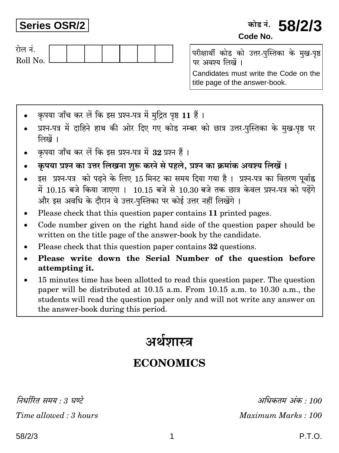## **Series OSR/2**

## कोड नं. **58/2/3** Code No.



परीक्षार्थी कोड को उत्तर-पुस्तिका के मुख-पृष्ठ पर अवश्य लिखें ।

Candidates must write the Code on the title page of the answer-book.

- कपया जाँच कर लें कि इस प्रश्न-पत्र में मदित पष्ठ 11 हैं।
- प्रश्न-पत्र में दाहिने हाथ की ओर दिए गए कोड नम्बर को छात्र उत्तर-पुस्तिका के मुख-पृष्ठ पर लिखें ।
- कृपया जाँच कर लें कि इस प्रश्न-पत्र में 32 प्रश्न हैं।
- कृपया प्रश्न का उत्तर लिखना शुरू करने से पहले, प्रश्न का क्रमांक अवश्य लिखें।
- इस प्रश्न-पत्र को पढ़ने के लिए 15 मिनट का समय दिया गया है। प्रश्न-पत्र का वितरण पर्वाह्न में 10.15 बजे किया जाएगा। 10.15 बजे से 10.30 बजे तक छात्र केवल प्रश्न-पत्र को पढ़ेंगे और इस अवधि के दौरान वे उत्तर-पुस्तिका पर कोई उत्तर नहीं लिखेंगे ।
- Please check that this question paper contains 11 printed pages.
- Code number given on the right hand side of the question paper should be written on the title page of the answer-book by the candidate.
- Please check that this question paper contains 32 questions.
- Please write down the Serial Number of the question before  $\bullet$ attempting it.
- 15 minutes time has been allotted to read this question paper. The question paper will be distributed at 10.15 a.m. From 10.15 a.m. to 10.30 a.m., the students will read the question paper only and will not write any answer on the answer-book during this period.

# अर्थशास्त्र

## **ECONOMICS**

निर्धारित ममय  $\cdot$  १ घण्टे

Time allowed: 3 hours

अधिकतम् अंक : 100 Maximum Marks: 100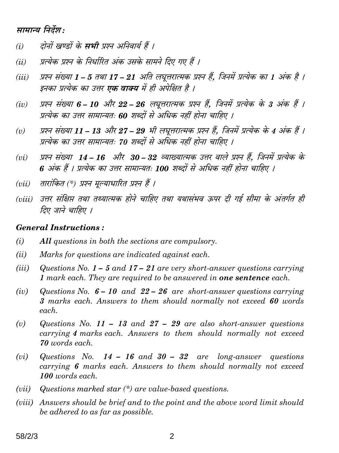### सामान्य निर्देश:

- दोनों खण्डों के **सभी** प्रश्न अनिवार्य हैं ।  $(i)$
- प्रत्येक प्रश्न के निर्धारित अंक उसके सामने दिए गए हैं ।  $(ii)$
- प्रश्न संख्या 1 5 तथा 17 21 अति लघूत्तरात्मक प्रश्न हैं. जिनमें प्रत्येक का 1 अंक है ।  $(iii)$ इनका प्रत्येक का उत्तर **एक वाक्य** में ही अपेक्षित है ।
- प्रश्न संख्या 6 10 और 22 26 लघुत्तरात्मक प्रश्न हैं, जिनमें प्रत्येक के 3 अंक हैं ।  $(iv)$ प्रत्येक का उत्तर सामान्यतः 60 शब्दों से अधिक नहीं होना चाहिए ।
- प्रश्न संख्या 11 13 और 27 29 भी लघूत्तरात्मक प्रश्न हैं, जिनमें प्रत्येक के 4 अंक हैं ।  $(v)$ प्रत्येक का उत्तर सामान्यतः 70 शब्दों से अधिक नहीं होना चाहिए ।
- प्रश्न संख्या 14 16 और 30 32 व्याख्यात्मक उत्तर वाले प्रश्न हैं, जिनमें प्रत्येक के  $(vi)$ 6 अंक हैं । प्रत्येक का उत्तर सामान्यतः 100 शब्दों से अधिक नहीं होना चाहिए ।
- तारांकित (\*) प्रश्न मुल्याधारित प्रश्न हैं ।  $(vii)$
- (viii) उत्तर संक्षिप्त तथा तथ्यात्मक होने चाहिए तथा यथासंभव ऊपर दी गई सीमा के अंतर्गत ही तिए जाने चाहिए ।

#### **General Instructions:**

- $(i)$ All questions in both the sections are compulsory.
- $(ii)$ Marks for questions are indicated against each.
- $(iii)$ Questions No.  $1 - 5$  and  $17 - 21$  are very short-answer questions carrying 1 mark each. They are required to be answered in **one sentence** each.
- Questions No.  $6 10$  and  $22 26$  are short-answer questions carrying  $(iv)$ 3 marks each. Answers to them should normally not exceed 60 words each.
- $(v)$ Questions No. 11 – 13 and 27 – 29 are also short-answer questions carrying 4 marks each. Answers to them should normally not exceed 70 words each.
- Questions No.  $14 16$  and  $30 32$  are long-answer questions  $(vi)$ carrying 6 marks each. Answers to them should normally not exceed 100 words each.
- Questions marked star  $(*)$  are value-based questions.  $(vii)$
- (viii) Answers should be brief and to the point and the above word limit should be adhered to as far as possible.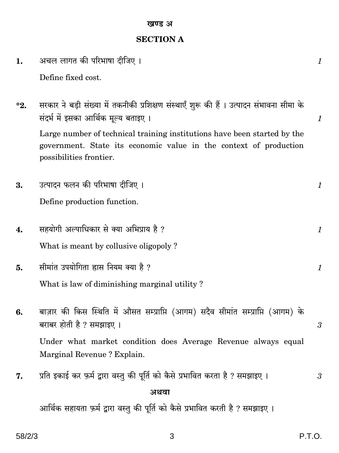### खण्ड अ

## **SECTION A**

| 1.       | अचल लागत की परिभाषा दीजिए ।                                                                                                                                                                                                                                                                                  | $\boldsymbol{\mathit{1}}$      |
|----------|--------------------------------------------------------------------------------------------------------------------------------------------------------------------------------------------------------------------------------------------------------------------------------------------------------------|--------------------------------|
|          | Define fixed cost.                                                                                                                                                                                                                                                                                           |                                |
| $^*2.$   | सरकार ने बड़ी संख्या में तकनीकी प्रशिक्षण संस्थाएँ शुरू की हैं । उत्पादन संभावना सीमा के<br>संदर्भ में इसका आर्थिक मूल्य बताइए ।<br>Large number of technical training institutions have been started by the<br>government. State its economic value in the context of production<br>possibilities frontier. | $\mathcal{I}$                  |
| 3.       | उत्पादन फलन की परिभाषा दीजिए ।                                                                                                                                                                                                                                                                               | 1                              |
|          | Define production function.                                                                                                                                                                                                                                                                                  |                                |
| 4.<br>5. | सहयोगी अल्पाधिकार से क्या अभिप्राय है ?<br>What is meant by collusive oligopoly?<br>सीमांत उपयोगिता ह्रास नियम क्या है ?                                                                                                                                                                                     | $\mathcal{I}$<br>$\mathcal{I}$ |
|          | What is law of diminishing marginal utility?                                                                                                                                                                                                                                                                 |                                |
| 6.       | बाज़ार की किस स्थिति में औसत सम्प्राप्ति (आगम) सदैव सीमांत सम्प्राप्ति (आगम) के<br>बराबर होती है ? समझाइए ।                                                                                                                                                                                                  | $\mathfrak{z}$                 |
|          | Under what market condition does Average Revenue always equal<br>Marginal Revenue ? Explain.                                                                                                                                                                                                                 |                                |
| 7.       | प्रति इकाई कर फ़र्म द्वारा वस्तु की पूर्ति को कैसे प्रभावित करता है ? समझाइए ।                                                                                                                                                                                                                               | 3                              |
|          | अथवा                                                                                                                                                                                                                                                                                                         |                                |
|          | आर्थिक सहायता फ़र्म द्वारा वस्तु की पूर्ति को कैसे प्रभावित करती है ? समझाइए ।                                                                                                                                                                                                                               |                                |

 $\mathsf 3$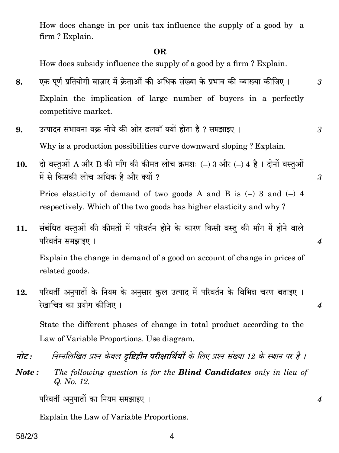How does change in per unit tax influence the supply of a good by a firm? Explain.

#### **OR**

How does subsidy influence the supply of a good by a firm? Explain.

- एक पूर्ण प्रतियोगी बाज़ार में क्रेताओं की अधिक संख्या के प्रभाव की व्याख्या कीजिए । 8. Explain the implication of large number of buyers in a perfectly competitive market.
- उत्पादन संभावना वक्र नीचे की ओर ढलवाँ क्यों होता है ? समझाइए । 9. Why is a production possibilities curve downward sloping? Explain.
- $\vec{q}$  वस्तुओं A और B की माँग की कीमत लोच क्रमशः (-) 3 और (-) 4 है। दोनों वस्तुओं 10. में से किसकी लोच अधिक है और क्यों ? Price elasticity of demand of two goods A and B is  $(-)$  3 and  $(-)$  4 respectively. Which of the two goods has higher elasticity and why?
- संबंधित वस्तुओं की कीमतों में परिवर्तन होने के कारण किसी वस्तु की माँग में होने वाले 11. परिवर्तन समझाइए ।

Explain the change in demand of a good on account of change in prices of related goods.

परिवर्ती अनुपातों के नियम के अनुसार कुल उत्पाद में परिवर्तन के विभिन्न चरण बताइए ।  $12.$ रेखाचित्र का प्रयोग कीजिए ।

State the different phases of change in total product according to the Law of Variable Proportions. Use diagram.

- निम्नलिखित प्रश्न केवल **दष्टिहीन परीक्षार्थियों** के लिए प्रश्न संख्या 12 के स्थान पर है । नोट :
- Note: The following question is for the **Blind Candidates** only in lieu of Q. No. 12.

परिवर्ती अनुपातों का नियम समझाइए ।

Explain the Law of Variable Proportions.

#### 4

 $\overline{4}$ 

 $\overline{\mathcal{A}}$ 

 $\overline{4}$ 

3

3

 $\mathfrak{z}$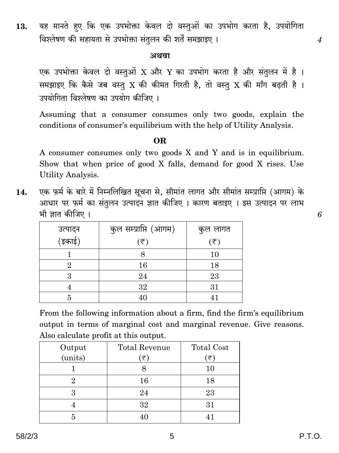यह मानते हए कि एक उपभोक्ता केवल दो वस्तुओं का उपभोग करता है, उपयोगिता 13. विश्लेषण की सहायता से उपभोक्ता संतुलन की शर्तें समझाइए ।

#### अथवा

एक उपभोक्ता केवल दो वस्तुओं X और Y का उपभोग करता है और संतुलन में है। समझाइए कि कैसे जब वस्तु X की कीमत गिरती है, तो वस्तु X की माँग बढती है। उपयोगिता विश्लेषण का उपयोग कीजिए ।

Assuming that a consumer consumes only two goods, explain the conditions of consumer's equilibrium with the help of Utility Analysis.

#### OR.

A consumer consumes only two goods X and Y and is in equilibrium. Show that when price of good X falls, demand for good X rises. Use Utility Analysis.

एक फ़र्म के बारे में निम्नलिखित सूचना से, सीमांत लागत और सीमांत सम्प्राप्ति (आगम) के  $14.$ आधार पर फ़र्म का संतुलन उत्पादन ज्ञात कीजिए । कारण बताइए । इस उत्पादन पर लाभ भी ज्ञात कीजिए ।

|                   | कुल सम्प्राप्ति (आगम) | कुल लागत                    |
|-------------------|-----------------------|-----------------------------|
| उत्पादन<br>(इकाई) | (₹)                   | $(\overline{\overline{z}})$ |
|                   |                       | 10                          |
|                   | 16                    | 18                          |
|                   | 24                    | 23                          |
|                   | 32                    | 31                          |
|                   | 40                    | 41                          |

From the following information about a firm, find the firm's equilibrium output in terms of marginal cost and marginal revenue. Give reasons. Also calculate profit at this output.

| Output  | <b>Total Revenue</b> | <b>Total Cost</b> |
|---------|----------------------|-------------------|
| (units) | ั₹`                  | (₹)               |
|         |                      | 10                |
|         | 16                   | 18                |
| 3       | 24                   | 23                |
|         | 32                   | 31                |
|         |                      |                   |

 $\overline{\mathcal{A}}$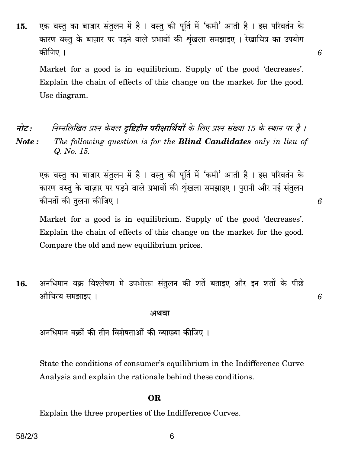एक वस्तु का बाज़ार संतुलन में है। वस्तु की पूर्ति में 'कमी' आती है। इस परिवर्तन के 15. कारण वस्तु के बाज़ार पर पड़ने वाले प्रभावों की शंखला समझाइए। रेखाचित्र का उपयोग कीजिए ।

Market for a good is in equilibrium. Supply of the good 'decreases'. Explain the chain of effects of this change on the market for the good. Use diagram.

निम्नलिखित प्रश्न केवल **दष्टिहीन परीक्षार्थियों** के लिए प्रश्न संख्या 15 के स्थान पर है । नोट : Note: The following question is for the **Blind Candidates** only in lieu of Q. No. 15.

एक वस्तु का बाज़ार संतुलन में है। वस्तु की पूर्ति में 'कमी' आती है। इस परिवर्तन के कारण वस्तु के बाज़ार पर पडने वाले प्रभावों की शृंखला समझाइए। पुरानी और नई संतुलन कीमतों की तलना कीजिए ।

Market for a good is in equilibrium. Supply of the good 'decreases'. Explain the chain of effects of this change on the market for the good. Compare the old and new equilibrium prices.

अनधिमान वक्र विश्लेषण में उपभोक्ता संतुलन की शर्तें बताइए और इन शर्तों के पीछे 16. औचित्य समझाइए ।

#### अथवा

अनधिमान वक्रों की तीन विशेषताओं की व्याख्या कीजिए ।

State the conditions of consumer's equilibrium in the Indifference Curve Analysis and explain the rationale behind these conditions.

#### OR.

Explain the three properties of the Indifference Curves.

6

6

6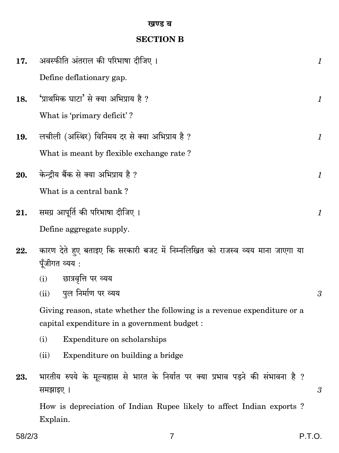## **SECTION B**

| 17. | अवस्फीति अंतराल की परिभाषा दीजिए ।                                                                                       | $\boldsymbol{\mathit{1}}$ |
|-----|--------------------------------------------------------------------------------------------------------------------------|---------------------------|
|     | Define deflationary gap.                                                                                                 |                           |
| 18. | 'प्राथमिक घाटा' से क्या अभिप्राय है ?                                                                                    | 1                         |
|     | What is 'primary deficit'?                                                                                               |                           |
| 19. | लचीली (अस्थिर) विनिमय दर से क्या अभिप्राय है ?                                                                           | 1                         |
|     | What is meant by flexible exchange rate?                                                                                 |                           |
| 20. | केन्द्रीय बैंक से क्या अभिप्राय है ?                                                                                     | 1                         |
|     | What is a central bank?                                                                                                  |                           |
| 21. | समग्र आपूर्ति की परिभाषा दीजिए ।                                                                                         | 1                         |
|     | Define aggregate supply.                                                                                                 |                           |
| 22. | कारण देते हुए बताइए कि सरकारी बजट में निम्नलिखित को राजस्व व्यय माना जाएगा या                                            |                           |
|     | पूँजीगत व्यय :                                                                                                           |                           |
|     | छात्रवृत्ति पर व्यय<br>(i)                                                                                               |                           |
|     | पुल निर्माण पर व्यय<br>(ii)                                                                                              | 3                         |
|     | Giving reason, state whether the following is a revenue expenditure or a<br>capital expenditure in a government budget : |                           |
|     | (i)<br>Expenditure on scholarships                                                                                       |                           |
|     | Expenditure on building a bridge<br>(ii)                                                                                 |                           |
| 23. | भारतीय रुपये के मूल्यह्रास से भारत के निर्यात पर क्या प्रभाव पड़ने की संभावना है ?<br>समझाइए ।                           | 3                         |
|     | How is depreciation of Indian Rupee likely to affect Indian exports?<br>Explain.                                         |                           |

 $\boldsymbol{7}$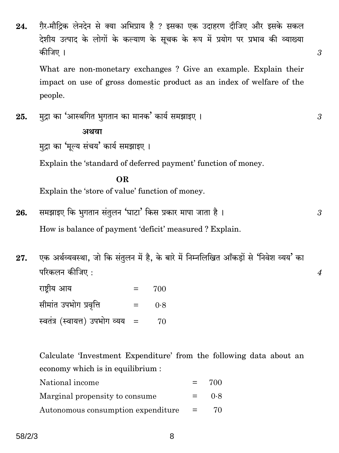गैर-मौदिक लेनदेन से क्या अभिप्राय है ? इसका एक उदाहरण दीजिए और इसके सकल 24. देशीय उत्पाद के लोगों के कल्याण के सचक के रूप में प्रयोग पर प्रभाव की व्याख्या कीजिए ।

What are non-monetary exchanges? Give an example. Explain their impact on use of gross domestic product as an index of welfare of the people.

3

3

3

 $\boldsymbol{4}$ 

मुद्रा का 'आस्थगित भुगतान का मानक' कार्य समझाइए। 25.

#### अथवा

मुद्रा का 'मुल्य संचय' कार्य समझाइए ।

Explain the 'standard of deferred payment' function of money.

#### $\Omega$

Explain the 'store of value' function of money.

- समझाइए कि भुगतान संतुलन 'घाटा' किस प्रकार मापा जाता है। 26. How is balance of payment 'deficit' measured? Explain.
- एक अर्थव्यवस्था, जो कि संतुलन में है, के बारे में निम्नलिखित आँकड़ों से 'निवेश व्यय' का 27. परिकलन कीजिए:

| राष्ट्रीय आय                   | $=$ | 700 |
|--------------------------------|-----|-----|
| सीमांत उपभोग प्रवृत्ति         | $=$ | 0.8 |
| स्वतंत्र (स्वायत्त) उपभोग व्यय |     | 70  |

Calculate 'Investment Expenditure' from the following data about an economy which is in equilibrium :

| National income                        | $=$ | 700 |
|----------------------------------------|-----|-----|
| Marginal propensity to consume         | $=$ | 0.8 |
| Autonomous consumption expenditure $=$ |     | 70  |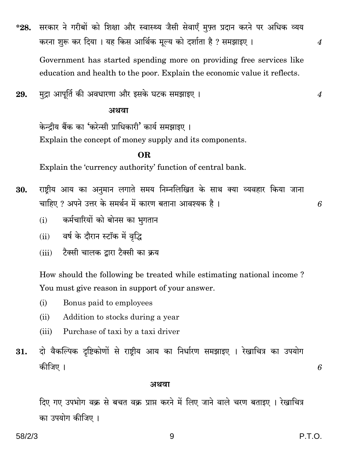सरकार ने गरीबों को शिक्षा और स्वास्थ्य जैसी सेवाएँ मुफ़्त प्रदान करने पर अधिक व्यय  $*28.$ करना शुरू कर दिया । यह किस आर्थिक मूल्य को दर्शाता है ? समझाइए ।

Government has started spending more on providing free services like education and health to the poor. Explain the economic value it reflects.

मुद्रा आपूर्ति की अवधारणा और इसके घटक समझाइए । 29.

#### अथवा

केन्दीय बैंक का 'करेन्सी प्राधिकारी' कार्य समझाइए । Explain the concept of money supply and its components.

#### OR.

Explain the 'currency authority' function of central bank.

- राष्ट्रीय आय का अनुमान लगाते समय निम्नलिखित के साथ क्या व्यवहार किया जाना 30. चाहिए ? अपने उत्तर के समर्थन में कारण बताना आवश्यक है।
	- कर्मचारियों को बोनस का भगतान  $(i)$
	- (ii) वर्ष के दौरान स्टॉक में वृद्धि
	- टैक्सी चालक दारा टैक्सी का क्रय  $(iii)$

How should the following be treated while estimating national income? You must give reason in support of your answer.

- $(i)$ Bonus paid to employees
- $(ii)$ Addition to stocks during a year
- Purchase of taxi by a taxi driver  $(iii)$
- दो वैकल्पिक दृष्टिकोणों से राष्ट्रीय आय का निर्धारण समझाइए । रेखाचित्र का उपयोग 31. कीजिए ।

#### अथवा

दिए गए उपभोग वक्र से बचत वक्र प्राप्त करने में लिए जाने वाले चरण बताइए । रेखाचित्र का उपयोग कीजिए ।

6

 $\boldsymbol{4}$ 

 $\boldsymbol{4}$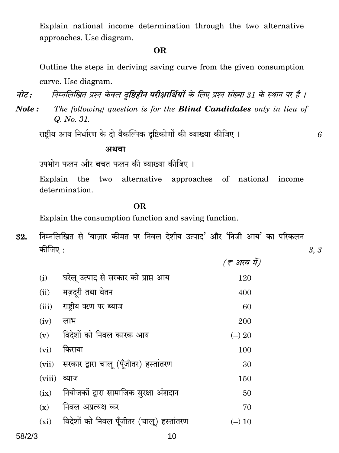Explain national income determination through the two alternative approaches. Use diagram.

#### **OR**

Outline the steps in deriving saving curve from the given consumption curve. Use diagram.

निम्नलिखित प्रश्न केवल दृष्टिहीन परीक्षार्थियों के लिए प्रश्न संख्या 31 के स्थान पर है । नोट:

The following question is for the **Blind Candidates** only in lieu of Note: Q. No. 31.

राष्ट्रीय आय निर्धारण के दो वैकल्पिक दृष्टिकोणों की व्याख्या कीजिए।

#### अथवा

उपभोग फलन और बचत फलन की व्याख्या कीजिए ।

Explain the two alternative approaches of national income determination.

#### **OR**

Explain the consumption function and saving function.

निम्नलिखित से 'बाज़ार कीमत पर निवल देशीय उत्पाद' और 'निजी आय' का परिकलन 32. कीजिए :

|         |                                          | (ह अरब में) |
|---------|------------------------------------------|-------------|
| (i)     | घरेलू उत्पाद से सरकार को प्राप्त आय      | 120         |
| (ii)    | मज़द्री तथा वेतन                         | 400         |
| (iii)   | राष्टीय ऋण पर ब्याज                      | 60          |
| (iv)    | लाभ                                      | 200         |
| (v)     | विदेशों को निवल कारक आय                  | $(-) 20$    |
| (vi)    | किराया                                   | 100         |
| (vii)   | सरकार द्वारा चालू (पूँजीतर) हस्तांतरण    | 30          |
| (viii)  | ब्याज                                    | 150         |
| (ix)    | नियोजकों द्वारा सामाजिक सुरक्षा अंशदान   | 50          |
| (x)     | निवल अप्रत्यक्ष कर                       | 70          |
| $(x_i)$ | विदेशों को निवल पूँजीतर (चालू) हस्तांतरण | $(-) 10$    |
|         |                                          |             |

 $3, 3$